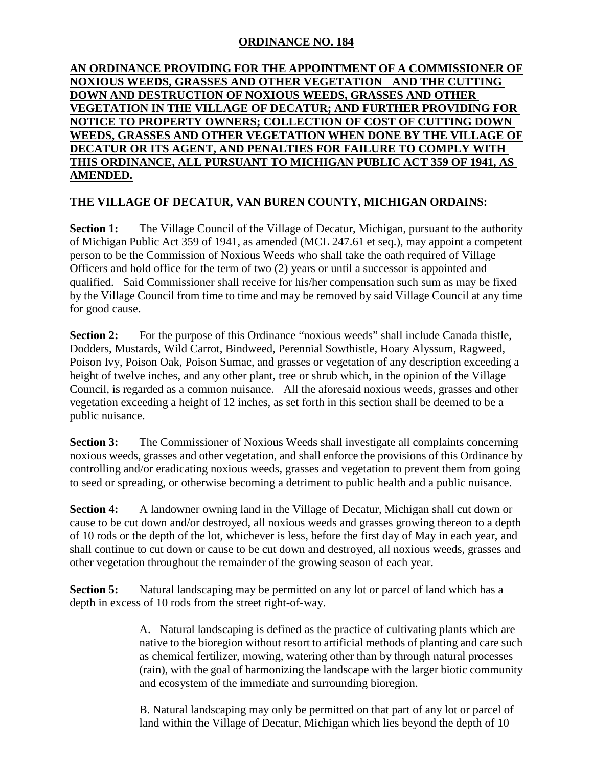## **ORDINANCE NO. 184**

## **AN ORDINANCE PROVIDING FOR THE APPOINTMENT OF A COMMISSIONER OF NOXIOUS WEEDS, GRASSES AND OTHER VEGETATION AND THE CUTTING DOWN AND DESTRUCTION OF NOXIOUS WEEDS, GRASSES AND OTHER VEGETATION IN THE VILLAGE OF DECATUR; AND FURTHER PROVIDING FOR NOTICE TO PROPERTY OWNERS; COLLECTION OF COST OF CUTTING DOWN WEEDS, GRASSES AND OTHER VEGETATION WHEN DONE BY THE VILLAGE OF DECATUR OR ITS AGENT, AND PENALTIES FOR FAILURE TO COMPLY WITH THIS ORDINANCE, ALL PURSUANT TO MICHIGAN PUBLIC ACT 359 OF 1941, AS AMENDED.**

## **THE VILLAGE OF DECATUR, VAN BUREN COUNTY, MICHIGAN ORDAINS:**

**Section 1:** The Village Council of the Village of Decatur, Michigan, pursuant to the authority of Michigan Public Act 359 of 1941, as amended (MCL 247.61 et seq.), may appoint a competent person to be the Commission of Noxious Weeds who shall take the oath required of Village Officers and hold office for the term of two (2) years or until a successor is appointed and qualified. Said Commissioner shall receive for his/her compensation such sum as may be fixed by the Village Council from time to time and may be removed by said Village Council at any time for good cause.

**Section 2:** For the purpose of this Ordinance "noxious weeds" shall include Canada thistle, Dodders, Mustards, Wild Carrot, Bindweed, Perennial Sowthistle, Hoary Alyssum, Ragweed, Poison Ivy, Poison Oak, Poison Sumac, and grasses or vegetation of any description exceeding a height of twelve inches, and any other plant, tree or shrub which, in the opinion of the Village Council, is regarded as a common nuisance. All the aforesaid noxious weeds, grasses and other vegetation exceeding a height of 12 inches, as set forth in this section shall be deemed to be a public nuisance.

**Section 3:** The Commissioner of Noxious Weeds shall investigate all complaints concerning noxious weeds, grasses and other vegetation, and shall enforce the provisions of this Ordinance by controlling and/or eradicating noxious weeds, grasses and vegetation to prevent them from going to seed or spreading, or otherwise becoming a detriment to public health and a public nuisance.

**Section 4:** A landowner owning land in the Village of Decatur, Michigan shall cut down or cause to be cut down and/or destroyed, all noxious weeds and grasses growing thereon to a depth of 10 rods or the depth of the lot, whichever is less, before the first day of May in each year, and shall continue to cut down or cause to be cut down and destroyed, all noxious weeds, grasses and other vegetation throughout the remainder of the growing season of each year.

**Section 5:** Natural landscaping may be permitted on any lot or parcel of land which has a depth in excess of 10 rods from the street right-of-way.

> A. Natural landscaping is defined as the practice of cultivating plants which are native to the bioregion without resort to artificial methods of planting and care such as chemical fertilizer, mowing, watering other than by through natural processes (rain), with the goal of harmonizing the landscape with the larger biotic community and ecosystem of the immediate and surrounding bioregion.

B. Natural landscaping may only be permitted on that part of any lot or parcel of land within the Village of Decatur, Michigan which lies beyond the depth of 10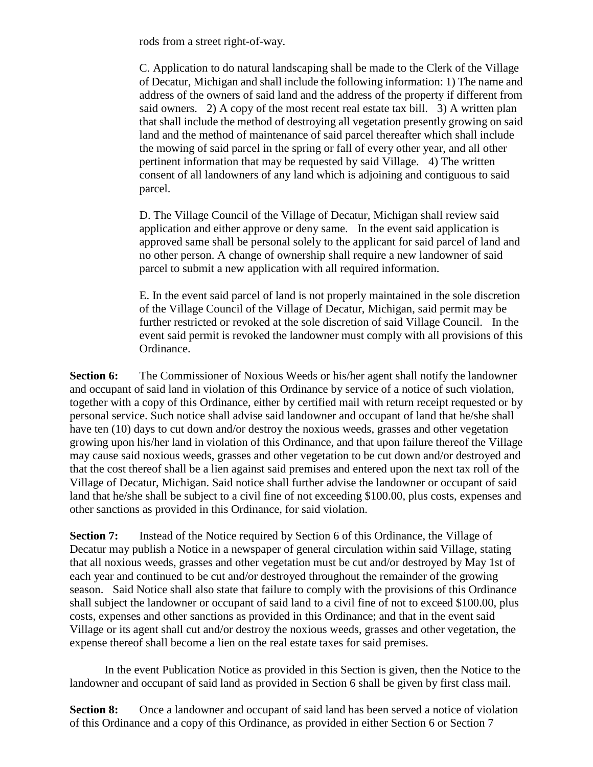rods from a street right-of-way.

C. Application to do natural landscaping shall be made to the Clerk of the Village of Decatur, Michigan and shall include the following information: 1) The name and address of the owners of said land and the address of the property if different from said owners. 2) A copy of the most recent real estate tax bill. 3) A written plan that shall include the method of destroying all vegetation presently growing on said land and the method of maintenance of said parcel thereafter which shall include the mowing of said parcel in the spring or fall of every other year, and all other pertinent information that may be requested by said Village. 4) The written consent of all landowners of any land which is adjoining and contiguous to said parcel.

D. The Village Council of the Village of Decatur, Michigan shall review said application and either approve or deny same. In the event said application is approved same shall be personal solely to the applicant for said parcel of land and no other person. A change of ownership shall require a new landowner of said parcel to submit a new application with all required information.

E. In the event said parcel of land is not properly maintained in the sole discretion of the Village Council of the Village of Decatur, Michigan, said permit may be further restricted or revoked at the sole discretion of said Village Council. In the event said permit is revoked the landowner must comply with all provisions of this Ordinance.

**Section 6:** The Commissioner of Noxious Weeds or his/her agent shall notify the landowner and occupant of said land in violation of this Ordinance by service of a notice of such violation, together with a copy of this Ordinance, either by certified mail with return receipt requested or by personal service. Such notice shall advise said landowner and occupant of land that he/she shall have ten (10) days to cut down and/or destroy the noxious weeds, grasses and other vegetation growing upon his/her land in violation of this Ordinance, and that upon failure thereof the Village may cause said noxious weeds, grasses and other vegetation to be cut down and/or destroyed and that the cost thereof shall be a lien against said premises and entered upon the next tax roll of the Village of Decatur, Michigan. Said notice shall further advise the landowner or occupant of said land that he/she shall be subject to a civil fine of not exceeding \$100.00, plus costs, expenses and other sanctions as provided in this Ordinance, for said violation.

**Section 7:** Instead of the Notice required by Section 6 of this Ordinance, the Village of Decatur may publish a Notice in a newspaper of general circulation within said Village, stating that all noxious weeds, grasses and other vegetation must be cut and/or destroyed by May 1st of each year and continued to be cut and/or destroyed throughout the remainder of the growing season. Said Notice shall also state that failure to comply with the provisions of this Ordinance shall subject the landowner or occupant of said land to a civil fine of not to exceed \$100.00, plus costs, expenses and other sanctions as provided in this Ordinance; and that in the event said Village or its agent shall cut and/or destroy the noxious weeds, grasses and other vegetation, the expense thereof shall become a lien on the real estate taxes for said premises.

In the event Publication Notice as provided in this Section is given, then the Notice to the landowner and occupant of said land as provided in Section 6 shall be given by first class mail.

**Section 8:** Once a landowner and occupant of said land has been served a notice of violation of this Ordinance and a copy of this Ordinance, as provided in either Section 6 or Section 7